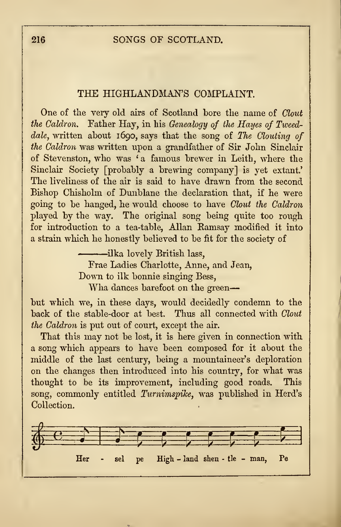## THE HIGHLANDMAN'S COMPLAINT.

One of the very old airs of Scotland bore the name of Clout the Caldron. Father Hay, in his Genealogy of the Hayes of Tweeddale, written about 1690, says that the song of The Clouting of the Caldron was written upon a grandfather of Sir John Sinclair of Stevenston, who was 'a famous brewer in Leith, where the Sinclair Society [probably a brewing company] is yet extant.' The liveliness of the air is said to have drawn from the second Bishop Chisholm of Dunblane the declaration that, if he were going to be hanged, he would choose to have Clout the Caldron played by the way. The original song being quite too rough for introduction to a tea-table, Allan Bamsay modified it into a strain which he honestly believed to be fit for the society of

> ilka lovely British lass, Frae Ladies Charlotte, Anne, and Jean, Down to ilk bonnie singing Bess, Wha dances barefoot on the green-

but which we, in these days, would decidedly condemn to the back of the stable-door at best. Thus all connected with Clout the Caldron is put out of court, except the air.

That this may not be lost, it is here given in connection with a song which appears to have been composed for it about the middle of the last century, being a mountaineer's deploration on the changes then introduced into his country, for what was thought to be its improvement, including good roads. This song, commonly entitled Turnimspike, was published in Herd's Collection.

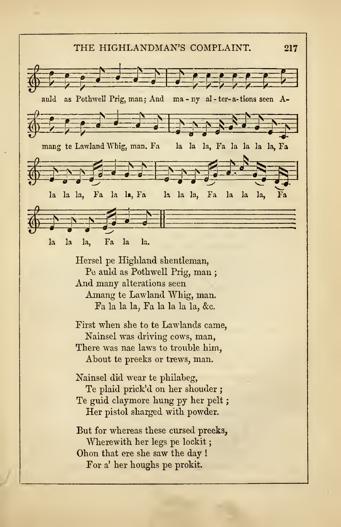## THE HIGHLANDMAN'S COMPLAINT. 217

sol and as Pothwell Prig, man; And ma - ny al - ter-a-tions seen A-THE HIGHLANDMAN'S COMPLAINT. 217 ^EES auld as Pothwell Prig, man; And ma-ny al-ter-a-tions seen A-<br>
and the state of the state of the state of the state of the state of the state of the state of the state of the state of the state of the state of the state of  $\oint$  in  $\oint$  is a second in  $\oint$ la la la, Fa la la, Fa la la la la la la, Fa la la la,  $6.225$ la la la, Fa la la. Hersel pe Highland shentleman, Pe auld as Pothwell Prig, man ; And many alterations seen

Amang te Lawland Whig, man. Fa la la la, Fa la la la la, &c.

First when she to te Lawlands came, Nainsel was driving cows, man, There was nae laws to trouble him, About te preeks or trews, man.

Nainsel did wear te philabeg, Te plaid prick'd on her shouder ; Te guid claymore hung py her pelt Her pistol sharged with powder.

But for whereas these cursed preeks, Wherewith her legs pe lockit; Ohon that ere she saw the day ! For a' her houghs pe prokit.